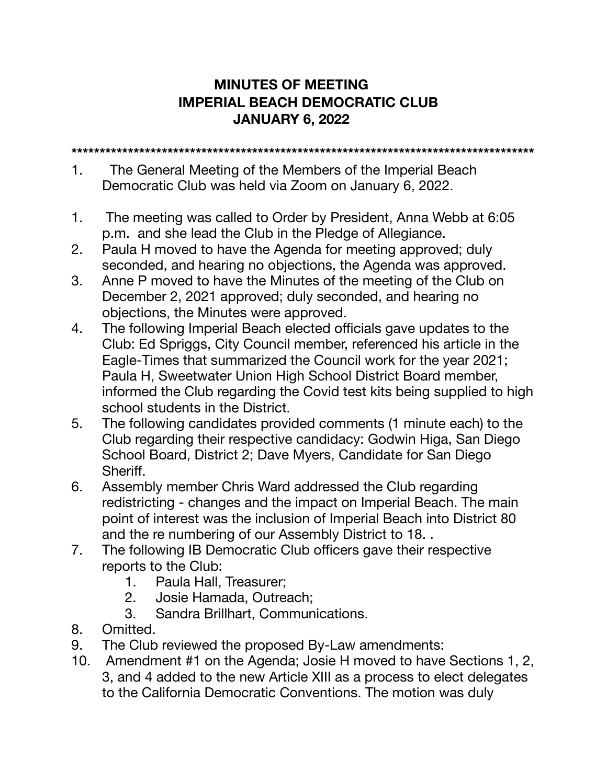## **MINUTES OF MEETING IMPERIAL BEACH DEMOCRATIC CLUB JANUARY 6, 2022**

**\*\*\*\*\*\*\*\*\*\*\*\*\*\*\*\*\*\*\*\*\*\*\*\*\*\*\*\*\*\*\*\*\*\*\*\*\*\*\*\*\*\*\*\*\*\*\*\*\*\*\*\*\*\*\*\*\*\*\*\*\*\*\*\*\*\*\*\*\*\*\*\*\*\*\*\*\*\*\*\*\*\*** 

- 1.The General Meeting of the Members of the Imperial Beach Democratic Club was held via Zoom on January 6, 2022.
- 1. The meeting was called to Order by President, Anna Webb at 6:05 p.m. and she lead the Club in the Pledge of Allegiance.
- 2. Paula H moved to have the Agenda for meeting approved; duly seconded, and hearing no objections, the Agenda was approved.
- 3. Anne P moved to have the Minutes of the meeting of the Club on December 2, 2021 approved; duly seconded, and hearing no objections, the Minutes were approved.
- 4. The following Imperial Beach elected officials gave updates to the Club: Ed Spriggs, City Council member, referenced his article in the Eagle-Times that summarized the Council work for the year 2021; Paula H, Sweetwater Union High School District Board member, informed the Club regarding the Covid test kits being supplied to high school students in the District.
- 5. The following candidates provided comments (1 minute each) to the Club regarding their respective candidacy: Godwin Higa, San Diego School Board, District 2; Dave Myers, Candidate for San Diego Sheriff.
- 6. Assembly member Chris Ward addressed the Club regarding redistricting - changes and the impact on Imperial Beach. The main point of interest was the inclusion of Imperial Beach into District 80 and the re numbering of our Assembly District to 18. .
- 7. The following IB Democratic Club officers gave their respective reports to the Club:
	- 1. Paula Hall, Treasurer;
	- 2. Josie Hamada, Outreach;
	- 3. Sandra Brillhart, Communications.
- 8. Omitted.
- 9. The Club reviewed the proposed By-Law amendments:
- 10. Amendment #1 on the Agenda; Josie H moved to have Sections 1, 2, 3, and 4 added to the new Article XIII as a process to elect delegates to the California Democratic Conventions. The motion was duly